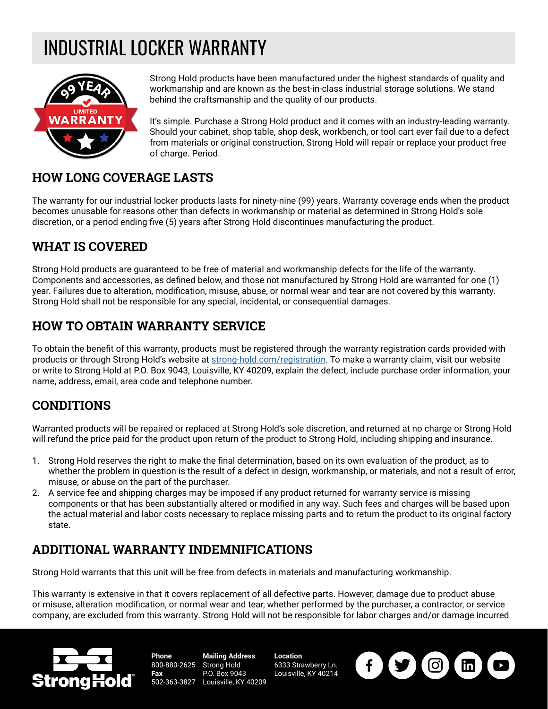# INDUSTRIAL LOCKER WARRANTY



Strong Hold products have been manufactured under the highest standards of quality and workmanship and are known as the best-in-class industrial storage solutions. We stand behind the craftsmanship and the quality of our products.

It's simple. Purchase a Strong Hold product and it comes with an industry-leading warranty. Should your cabinet, shop table, shop desk, workbench, or tool cart ever fail due to a defect from materials or original construction, Strong Hold will repair or replace your product free of charge. Period.

#### **HOW LONG COVERAGE LASTS**

The warranty for our industrial locker products lasts for ninety-nine (99) years. Warranty coverage ends when the product becomes unusable for reasons other than defects in workmanship or material as determined in Strong Hold's sole discretion, or a period ending five (5) years after Strong Hold discontinues manufacturing the product.

## **WHAT IS COVERED**

Strong Hold products are guaranteed to be free of material and workmanship defects for the life of the warranty. Components and accessories, as defined below, and those not manufactured by Strong Hold are warranted for one (1) year. Failures due to alteration, modification, misuse, abuse, or normal wear and tear are not covered by this warranty. Strong Hold shall not be responsible for any special, incidental, or consequential damages.

## **HOW TO OBTAIN WARRANTY SERVICE**

To obtain the benefit of this warranty, products must be registered through the warranty registration cards provided with products or through Strong Hold's website at [strong-hold.com/registration](http://strong-hold.com/registration). To make a warranty claim, visit our website or write to Strong Hold at P.O. Box 9043, Louisville, KY 40209, explain the defect, include purchase order information, your name, address, email, area code and telephone number.

#### **CONDITIONS**

Warranted products will be repaired or replaced at Strong Hold's sole discretion, and returned at no charge or Strong Hold will refund the price paid for the product upon return of the product to Strong Hold, including shipping and insurance.

- 1. Strong Hold reserves the right to make the final determination, based on its own evaluation of the product, as to whether the problem in question is the result of a defect in design, workmanship, or materials, and not a result of error, misuse, or abuse on the part of the purchaser.
- 2. A service fee and shipping charges may be imposed if any product returned for warranty service is missing components or that has been substantially altered or modified in any way. Such fees and charges will be based upon the actual material and labor costs necessary to replace missing parts and to return the product to its original factory state.

## **ADDITIONAL WARRANTY INDEMNIFICATIONS**

Strong Hold warrants that this unit will be free from defects in materials and manufacturing workmanship.

This warranty is extensive in that it covers replacement of all defective parts. However, damage due to product abuse or misuse, alteration modification, or normal wear and tear, whether performed by the purchaser, a contractor, or service company, are excluded from this warranty. Strong Hold will not be responsible for labor charges and/or damage incurred



**Phone** 800-880-2625 Strong Hold **Fax** 502-363-3827 **Mailing Address** P.O. Box 9043 Louisville, KY 40209

**Location** 6333 Strawberry Ln. Louisville, KY 40214